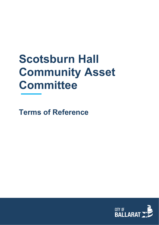# **Scotsburn Hall Community Asset Committee**

**Terms of Reference**

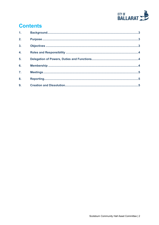

# **Contents**

| 1 <sub>1</sub>   |  |
|------------------|--|
| 2.               |  |
| $\overline{3}$ . |  |
| 4.               |  |
| 5.               |  |
| 6.               |  |
| $\overline{7}$ . |  |
| 8.               |  |
| 9.               |  |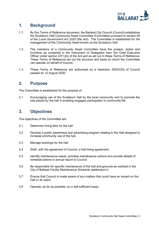

#### <span id="page-2-0"></span>**1. Background**

- 1.1. By this Terms of Reference document, the Ballarat City Council (Council) establishes the Scotsburn Hall Community Asset Committee (Committee) pursuant to section 65 of the *Local Government Act 2020* (the Act). The Committee is established for the management of the Community Asset known as the Scotsburn Hall.
- 1.2. The members of a Community Asset Committee have the powers, duties and functions as contained in the Instrument of Delegation from the Chief Executive Officer under section 47(1)(b) of the Act and as set out in these Terms of Reference. These Terms of Reference set out the structure and basis on which the Committee can operate on behalf of Council.
- 1.3. These Terms of Reference are authorised by a resolution (R203/20) of Council passed on 12 August 2020.

#### <span id="page-2-1"></span>**2. Purpose**

The Committee is established for the purpose of:

2.1 Encouraging use of the Scotsburn Hall by the local community and to promote the role played by the hall in enabling engaged participation in community life

# <span id="page-2-2"></span>**3. Objectives**

The objectives of the Committee are:

- 3.1 Determine hiring fees for the hall
- 3.2 Develop a public awareness and advertising program relating to the Hall designed to increase community use of the hall.
- 3.3 Manage bookings for the hall.
- 3.4 Draft, with the agreement of Council, a hall hiring agreement.
- 3.5 Identify maintenance needs, prioritise maintenance actions and provide details of remedial actions in annual report to Council.
- 3.6 Be responsible for specific maintenance of the hall and grounds as outlined in the City of Ballarat Facility Maintenance Schedule (addendum1).
- 3.7 Ensure that Council is made aware of any matters that could have an impact on the Hall or its users.
- 3.8 Operate, as far as possible, on a self-sufficient basis.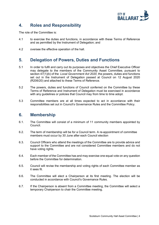

### <span id="page-3-0"></span>**4. Roles and Responsibility**

The role of the Committee is:

- 4.1 to exercise the duties and functions, in accordance with these Terms of Reference and as permitted by the Instrument of Delegation; and
- 4.2 oversee the effective operation of the hall.

#### <span id="page-3-1"></span>**5. Delegation of Powers, Duties and Functions**

- 5.1 In order to fulfil and carry out its purposes and objectives the Chief Executive Officer may delegate to the members of the Community Asset Committee, pursuant to section 47(1)(b) of the *Local Government Act 2020*, the powers, duties and functions set out in the Instrument of Delegation passed at Council on 12 August 2020 (R206/20) and attached to these Terms of Reference.
- 5.2 The powers, duties and functions of Council conferred on the Committee by these Terms of Reference and Instrument of Delegation must be exercised in accordance with any guidelines or policies that Council may from time to time adopt.
- 5.3 Committee members are at all times expected to act in accordance with their responsibilities set out in Council's Governance Rules and the Committee Policy.

#### <span id="page-3-2"></span>**6. Membership**

- 6.1. The Committee will consist of a minimum of 11 community members appointed by Council.
- 6.2. The term of membership will be for a Council term. A re-appointment of committee members must occur by 30 June after each Council election
- 6.3. Council Officers who attend the meetings of the Committee are to provide advice and support to the Committee and are not considered Committee members and do not have voting rights.
- 6.4. Each member of the Committee has and may exercise one equal vote on any question before the Committee for determination.
- 6.5. Council will revise the membership and voting rights of each Committee member as it sees fit.
- 6.6. The Committee will elect a Chairperson at its first meeting. The election will be conducted in accordance with Council's Governance Rules.
- 6.7. If the Chairperson is absent from a Committee meeting, the Committee will select a temporary Chairperson to chair the Committee meeting.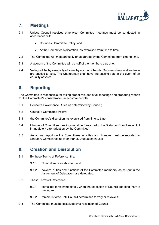

## <span id="page-4-0"></span>**7. Meetings**

- 7.1 Unless Council resolves otherwise, Committee meetings must be conducted in accordance with:
	- Council's Committee Policy; and
	- At the Committee's discretion, as exercised from time to time.
- 7.2 The Committee will meet annually or as agreed by the Committee from time to time.
- 7.3 A quorum of the Committee will be half of the members plus one.
- 7.4 Voting will be by a majority of votes by a show of hands. Only members in attendance are entitled to vote. The Chairperson shall have the casting vote in the event of an equality of votes.

#### <span id="page-4-1"></span>**8. Reporting**

The Committee is responsible for taking proper minutes of all meetings and preparing reports for the Committee's consideration in accordance with:

- 8.1 Council's Governance Rules as determined by Council;
- 8.2 Council's Committee Policy;
- 8.3 the Committee's discretion, as exercised from time to time;
- 8.4 Minutes of Committee meetings must be forwarded to the Statutory Compliance Unit immediately after adoption by the Committee.
- 8.5 An annual report on the Committees activities and finances must be reported to Statutory Compliance no later than 30 August each year

#### <span id="page-4-2"></span>**9. Creation and Dissolution**

- 9.1 By these Terms of Reference, the:
	- 9.1.1 Committee is established; and
	- 9.1.2 powers, duties and functions of the Committee members, as set out in the Instrument of Delegation, are delegated.
- 9.2 These Terms of Reference
	- 9.2.1 come into force immediately when the resolution of Council adopting them is made; and
	- 9.2.2 remain in force until Council determines to vary or revoke it.
- 9.3 The Committee must be dissolved by a resolution of Council.